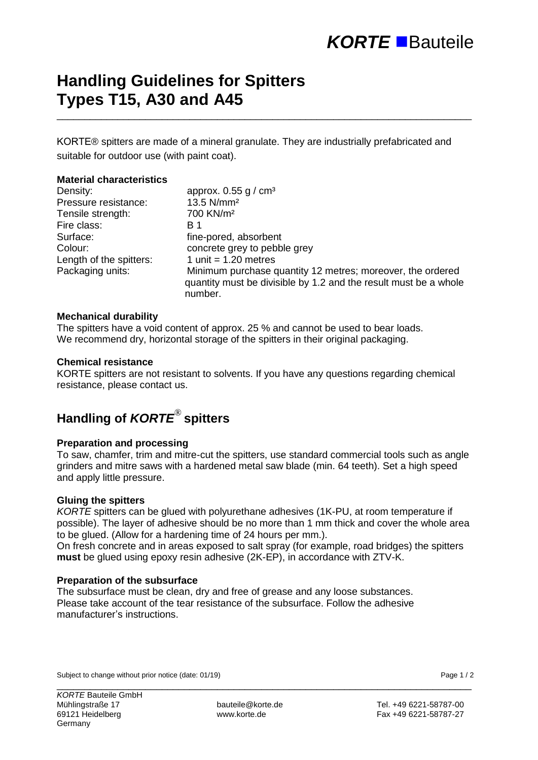# *KORTE* Bauteile

## **Handling Guidelines for Spitters Types T15, A30 and A45**

KORTE® spitters are made of a mineral granulate. They are industrially prefabricated and suitable for outdoor use (with paint coat).

\_\_\_\_\_\_\_\_\_\_\_\_\_\_\_\_\_\_\_\_\_\_\_\_\_\_\_\_\_\_\_\_\_\_\_\_\_\_\_\_\_\_\_\_\_\_\_\_\_\_\_\_\_\_\_\_\_\_\_\_\_\_\_\_\_\_\_\_\_\_\_\_\_\_\_

#### **Material characteristics**

| Density:                | approx. $0.55$ g / cm <sup>3</sup>                                                                                                       |
|-------------------------|------------------------------------------------------------------------------------------------------------------------------------------|
| Pressure resistance:    | 13.5 N/mm <sup>2</sup>                                                                                                                   |
| Tensile strength:       | 700 KN/m <sup>2</sup>                                                                                                                    |
| Fire class:             | B 1                                                                                                                                      |
| Surface:                | fine-pored, absorbent                                                                                                                    |
| Colour:                 | concrete grey to pebble grey                                                                                                             |
| Length of the spitters: | 1 unit = $1.20$ metres                                                                                                                   |
| Packaging units:        | Minimum purchase quantity 12 metres; moreover, the ordered<br>quantity must be divisible by 1.2 and the result must be a whole<br>number |

#### **Mechanical durability**

The spitters have a void content of approx. 25 % and cannot be used to bear loads. We recommend dry, horizontal storage of the spitters in their original packaging.

#### **Chemical resistance**

KORTE spitters are not resistant to solvents. If you have any questions regarding chemical resistance, please contact us.

### **Handling of** *KORTE*® **spitters**

#### **Preparation and processing**

To saw, chamfer, trim and mitre-cut the spitters, use standard commercial tools such as angle grinders and mitre saws with a hardened metal saw blade (min. 64 teeth). Set a high speed and apply little pressure.

#### **Gluing the spitters**

*KORTE* spitters can be glued with polyurethane adhesives (1K-PU, at room temperature if possible). The layer of adhesive should be no more than 1 mm thick and cover the whole area to be glued. (Allow for a hardening time of 24 hours per mm.).

On fresh concrete and in areas exposed to salt spray (for example, road bridges) the spitters **must** be glued using epoxy resin adhesive (2K-EP), in accordance with ZTV-K.

#### **Preparation of the subsurface**

The subsurface must be clean, dry and free of grease and any loose substances. Please take account of the tear resistance of the subsurface. Follow the adhesive manufacturer's instructions.

Subject to change without prior notice (date: 01/19) **Page 1** / 2